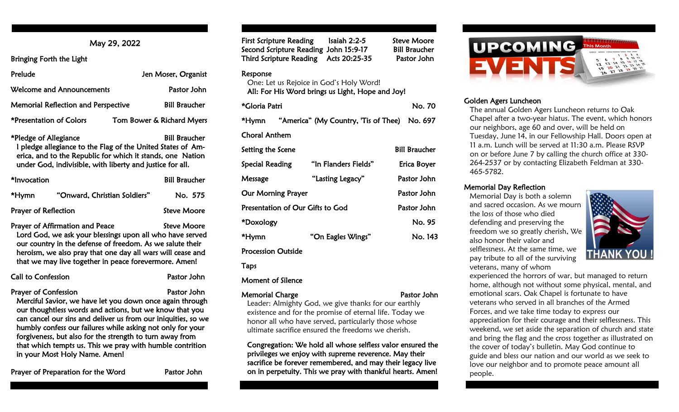# May 29, 2022

Bringing Forth the Light

| Prelude                                    | Jen Moser, Organist       |
|--------------------------------------------|---------------------------|
| <b>Welcome and Announcements</b>           | Pastor John               |
| <b>Memorial Reflection and Perspective</b> | <b>Bill Braucher</b>      |
| *Presentation of Colors                    | Tom Bower & Richard Myers |

\*Pledge of Allegiance Bill Braucher I pledge allegiance to the Flag of the United States of Am erica, and to the Republic for which it stands, one Nation under God, indivisible, with liberty and justice for all.

| *Invocation                 |                              | <b>Bill Braucher</b> |
|-----------------------------|------------------------------|----------------------|
| *Hymn                       | "Onward, Christian Soldiers" | No. 575              |
| <b>Prayer of Reflection</b> |                              | Steve Moore          |

Prayer of Affirmation and Peace Steve Moore Lord God, we ask your blessings upon all who have served our country in the defense of freedom. As we salute their heroism, we also pray that one day all wars will cease and that we may live together in peace forevermore. Amen!

| <b>Call to Confession</b> | Pastor John |
|---------------------------|-------------|
|                           |             |

Prayer of Confession **Prayer of Confession** Merciful Savior, we have let you down once again through our thoughtless words and actions, but we know that you can cancel our sins and deliver us from our iniquities, so we humbly confess our failures while asking not only for your forgiveness, but also for the strength to turn away from that which tempts us. This we pray with humble contrition in your Most Holy Name. Amen!

Prayer of Preparation for the Word Pastor John

| $\cdots$                         | $\sim$<br>Second Scripture Reading John 15:9-17<br>Third Scripture Reading Acts 20:25-35    | ---------<br><b>Bill Braucher</b><br>Pastor John |
|----------------------------------|---------------------------------------------------------------------------------------------|--------------------------------------------------|
| Response                         | One: Let us Rejoice in God's Holy Word!<br>All: For His Word brings us Light, Hope and Joy! |                                                  |
| *Gloria Patri                    |                                                                                             | No. 70                                           |
|                                  | *Hymn "America" (My Country, 'Tis of Thee) No. 697                                          |                                                  |
| Choral Anthem                    |                                                                                             |                                                  |
| Setting the Scene                |                                                                                             | <b>Bill Braucher</b>                             |
| Special Reading                  | "In Flanders Fields"                                                                        | Erica Boyer                                      |
| Message                          | "Lasting Legacy"                                                                            | Pastor John                                      |
| <b>Our Morning Prayer</b>        |                                                                                             | Pastor John                                      |
| Presentation of Our Gifts to God |                                                                                             | Pastor John                                      |
| *Doxology                        |                                                                                             | No. 95                                           |
| *Hymn                            | "On Eagles Wings"                                                                           | No. 143                                          |
| <b>Procession Outside</b>        |                                                                                             |                                                  |

First Scripture Reading Isaiah 2:2-5 Steve Moore

Taps

#### Moment of Silence

#### Memorial Charge **Pastor John**

Leader: Almighty God, we give thanks for our earthly existence and for the promise of eternal life. Today we honor all who have served, particularly those whose ultimate sacrifice ensured the freedoms we cherish.

 Congregation: We hold all whose selfless valor ensured the privileges we enjoy with supreme reverence. May their sacrifice be forever remembered, and may their legacy live on in perpetuity. This we pray with thankful hearts. Amen!



## Golden Agers Luncheon

The annual Golden Agers Luncheon returns to Oak Chapel after a two-year hiatus. The event, which honors our neighbors, age 60 and over, will be held on Tuesday, June 14, in our Fellowship Hall. Doors open at 11 a.m. Lunch will be served at 11:30 a.m. Please RSVP on or before June 7 by calling the church office at 330- 264-2537 or by contacting Elizabeth Feldman at 330- 465-5782.

#### Memorial Day Reflection

Memorial Day is both a solemn and sacred occasion. As we mourn the loss of those who died defending and preserving the freedom we so greatly cherish, We also honor their valor and selflessness. At the same time, we pay tribute to all of the surviving veterans, many of whom



experienced the horrors of war, but managed to return home, although not without some physical, mental, and emotional scars. Oak Chapel is fortunate to have veterans who served in all branches of the Armed Forces, and we take time today to express our appreciation for their courage and their selflessness. This weekend, we set aside the separation of church and state and bring the flag and the cross together as illustrated on the cover of today's bulletin. May God continue to guide and bless our nation and our world as we seek to love our neighbor and to promote peace amount all people.